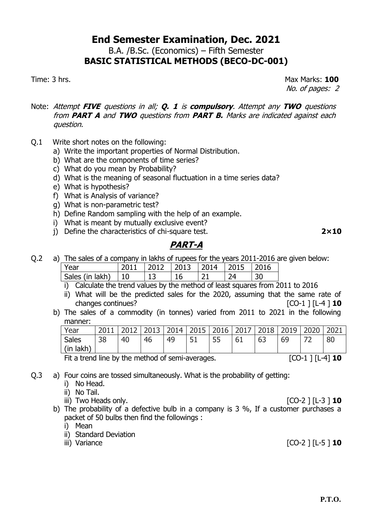B.A. /B.Sc. (Economics) – Fifth Semester **BASIC STATISTICAL METHODS (BECO-DC-001)**

Time: 3 hrs. Max Marks: **100** No. of pages: 2

- Note: Attempt **FIVE** questions in all; **Q. 1** is **compulsory**. Attempt any **TWO** questions from **PART A** and **TWO** questions from **PART B.** Marks are indicated against each question.
- Q.1 Write short notes on the following:
	- a) Write the important properties of Normal Distribution.
	- b) What are the components of time series?
	- c) What do you mean by Probability?
	- d) What is the meaning of seasonal fluctuation in a time series data?
	- e) What is hypothesis?
	- f) What is Analysis of variance?
	- g) What is non-parametric test?
	- h) Define Random sampling with the help of an example.
	- i) What is meant by mutually exclusive event?
	- j) Define the characteristics of chi-square test. **2×10**

#### **PART-A**

Q.2 a) The sales of a company in lakhs of rupees for the years 2011-2016 are given below:

| Sales (in lakh)<br>つ1<br>24 | Year | 2011 | $\vert$ 2012 $\vert$ 2013 $\vert$ 2014 $\vert$ 2015 |  |  |
|-----------------------------|------|------|-----------------------------------------------------|--|--|
|                             |      |      |                                                     |  |  |

- i) Calculate the trend values by the method of least squares from 2011 to 2016
- ii) What will be the predicted sales for the 2020, assuming that the same rate of changes continues?  $[CO-1] [L-4] 10$
- b) The sales of a commodity (in tonnes) varied from 2011 to 2021 in the following manner:

| Year             | 2011 |    |    |    |    | 2012   2013   2014   2015   2016   2017   2018   2019   2020 |    |    |    | 2021 |
|------------------|------|----|----|----|----|--------------------------------------------------------------|----|----|----|------|
| Sales            | 38   | 40 | 46 | 49 | 51 | 55                                                           | 61 | 63 | 69 | 80   |
| $\mid$ (in lakh) |      |    |    |    |    |                                                              |    |    |    |      |

Fit a trend line by the method of semi-averages. [CO-1 ] [L-4] **10**

Q.3 a) Four coins are tossed simultaneously. What is the probability of getting:

- i) No Head.
- ii) No Tail.
- iii) Two Heads only. [CO-2 ] [L-3 ] **10**
- b) The probability of a defective bulb in a company is 3 %, If a customer purchases a packet of 50 bulbs then find the followings :
	- i) Mean
	- ii) Standard Deviation
	-

iii) Variance  $[CO-2] [L-5] 10$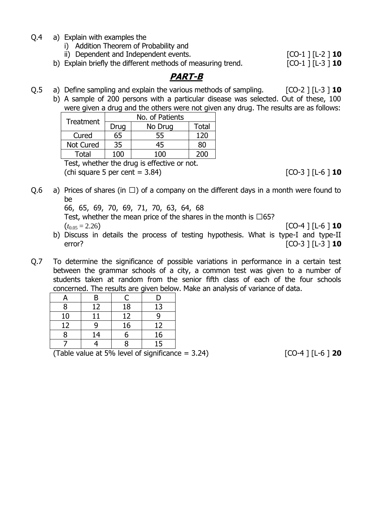- Q.4 a) Explain with examples the
	- i) Addition Theorem of Probability and

ii) Dependent and Independent events. [CO-1 ] [L-2 ] **10**

b) Explain briefly the different methods of measuring trend. [CO-1 ] [L-3 ] **10**

### **PART-B**

Q.5 a) Define sampling and explain the various methods of sampling. [CO-2 ] [L-3 ] **10** 

b) A sample of 200 persons with a particular disease was selected. Out of these, 100 were given a drug and the others were not given any drug. The results are as follows:

| <b>Treatment</b> | No. of Patients |         |       |  |  |
|------------------|-----------------|---------|-------|--|--|
|                  | Drug            | No Drug | Total |  |  |
| Cured            | 65              | 55      | 120   |  |  |
| <b>Not Cured</b> | 35              | 45      | 80    |  |  |
| Total            | 1ሰበ             | ו חרי   | 200   |  |  |

Test, whether the drug is effective or not.  $[CO-3] [L-6] 10$ 

Q.6 a) Prices of shares (in  $\Box$ ) of a company on the different days in a month were found to be

66, 65, 69, 70, 69, 71, 70, 63, 64, 68

Test, whether the mean price of the shares in the month is  $\Box 65$ ?

- $(t_{0.05} = 2.26)$  [CO-4 ] [L-6 ] **10** b) Discuss in details the process of testing hypothesis. What is type-I and type-II error? [CO-3 ] [L-3 ] **10**
- Q.7 To determine the significance of possible variations in performance in a certain test between the grammar schools of a city, a common test was given to a number of students taken at random from the senior fifth class of each of the four schools concerned. The results are given below. Make an analysis of variance of data.

| 8  | 12 | 18 | 13 |
|----|----|----|----|
| 10 |    | 12 |    |
| 12 | a  | 16 | 12 |
|    | 14 |    | 16 |
|    |    |    | 15 |

 $(Table value at 5\% level of significance = 3.24)$   $[CO-4] [L-6] 20$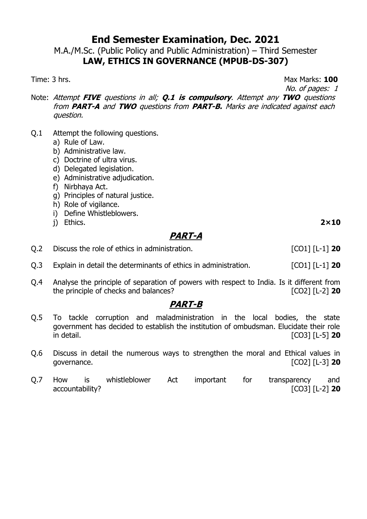M.A./M.Sc. (Public Policy and Public Administration) – Third Semester **LAW, ETHICS IN GOVERNANCE (MPUB-DS-307)**

Time: 3 hrs. **100** 

No. of pages: 1

- Note: Attempt **FIVE** questions in all; **Q.1 is compulsory**. Attempt any **TWO** questions from **PART-A** and **TWO** questions from **PART-B.** Marks are indicated against each question.
- Q.1 Attempt the following questions.
	- a) Rule of Law.
	- b) Administrative law.
	- c) Doctrine of ultra virus.
	- d) Delegated legislation.
	- e) Administrative adjudication.
	- f) Nirbhaya Act.
	- g) Principles of natural justice.
	- h) Role of vigilance.
	- i) Define Whistleblowers.
	- j) Ethics. **2×10**

# **PART-A**

- Q.2 Discuss the role of ethics in administration. [CO1] [L-1] **20**
- Q.3 Explain in detail the determinants of ethics in administration. [CO1] [L-1] **20**
- Q.4 Analyse the principle of separation of powers with respect to India. Is it different from the principle of checks and balances? [CO2] [L-2] **20**

- Q.5 To tackle corruption and maladministration in the local bodies, the state government has decided to establish the institution of ombudsman. Elucidate their role in detail. [CO3] [L-5] **20**
- Q.6 Discuss in detail the numerous ways to strengthen the moral and Ethical values in governance. [CO2] [L-3] **20**
- Q.7 How is whistleblower Act important for transparency and accountability? [CO3] [L-2] **20**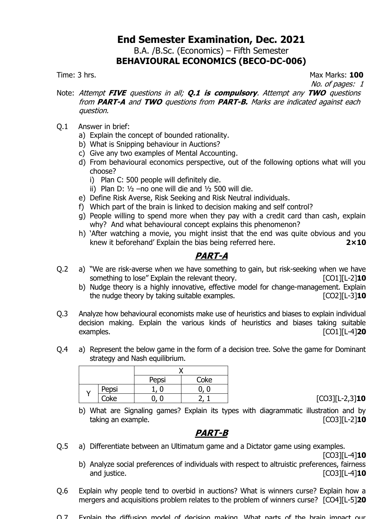### **End Semester Examination, Dec. 2021** B.A. /B.Sc. (Economics) – Fifth Semester **BEHAVIOURAL ECONOMICS (BECO-DC-006)**

Time: 3 hrs. Max Marks: **100**

No. of pages: 1

- Note: Attempt **FIVE** questions in all; **Q.1 is compulsory**. Attempt any **TWO** questions from **PART-A** and **TWO** questions from **PART-B.** Marks are indicated against each question.
- Q.1 Answer in brief:
	- a) Explain the concept of bounded rationality.
	- b) What is Snipping behaviour in Auctions?
	- c) Give any two examples of Mental Accounting.
	- d) From behavioural economics perspective, out of the following options what will you choose?
		- i) Plan C: 500 people will definitely die.
		- ii) Plan D:  $1/2$  –no one will die and  $1/2$  500 will die.
	- e) Define Risk Averse, Risk Seeking and Risk Neutral individuals.
	- f) Which part of the brain is linked to decision making and self control?
	- g) People willing to spend more when they pay with a credit card than cash, explain why? And what behavioural concept explains this phenomenon?
	- h) 'After watching a movie, you might insist that the end was quite obvious and you knew it beforehand' Explain the bias being referred here. **2×10**

# **PART-A**

- Q.2 a) "We are risk-averse when we have something to gain, but risk-seeking when we have something to lose" Explain the relevant theory. [CO1][L-2]**10**
	- b) Nudge theory is a highly innovative, effective model for change-management. Explain the nudge theory by taking suitable examples. [CO2][L-3]**10**
- Q.3 Analyze how behavioural economists make use of heuristics and biases to explain individual decision making. Explain the various kinds of heuristics and biases taking suitable examples. [CO1][L-4]**20**
- Q.4 a) Represent the below game in the form of a decision tree. Solve the game for Dominant strategy and Nash equilibrium.

|       | Pepsi | Coke |  |  |  |
|-------|-------|------|--|--|--|
| Pepsi |       |      |  |  |  |
| Coke  |       |      |  |  |  |

Coke 0, 0 2, 1 [CO3][L-2,3]**10**

b) What are Signaling games? Explain its types with diagrammatic illustration and by taking an example. [CO3][L-2]**10**

#### **PART-B**

Q.5 a) Differentiate between an Ultimatum game and a Dictator game using examples.

[CO3][L-4]**10**

- b) Analyze social preferences of individuals with respect to altruistic preferences, fairness and justice. [CO3][L-4]**10**
- Q.6 Explain why people tend to overbid in auctions? What is winners curse? Explain how a mergers and acquisitions problem relates to the problem of winners curse? [CO4][L-5]**20**
- Q.7 Explain the diffusion model of decision making. What parts of the brain impact our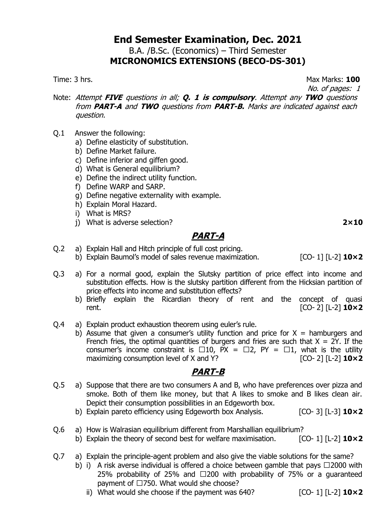B.A. /B.Sc. (Economics) – Third Semester

# **MICRONOMICS EXTENSIONS (BECO-DS-301)**

Time: 3 hrs. Max Marks: **100**

No. of pages: 1

- Note: Attempt **FIVE** questions in all; **Q. 1 is compulsory**. Attempt any **TWO** questions from **PART-A** and **TWO** questions from **PART-B.** Marks are indicated against each question.
- Q.1 Answer the following:
	- a) Define elasticity of substitution.
	- b) Define Market failure.
	- c) Define inferior and giffen good.
	- d) What is General equilibrium?
	- e) Define the indirect utility function.
	- f) Define WARP and SARP.
	- g) Define negative externality with example.
	- h) Explain Moral Hazard.
	- i) What is MRS?
	- j) What is adverse selection? **2×10**

## **PART-A**

- Q.2 a) Explain Hall and Hitch principle of full cost pricing.
	- b) Explain Baumol's model of sales revenue maximization. [CO- 1] [L-2] **10×2**
- Q.3 a) For a normal good, explain the Slutsky partition of price effect into income and substitution effects. How is the slutsky partition different from the Hicksian partition of price effects into income and substitution effects?
	- b) Briefly explain the Ricardian theory of rent and the concept of quasi rent. [CO- 2] [L-2] **10×2**
- Q.4 a) Explain product exhaustion theorem using euler's rule.
	- b) Assume that given a consumer's utility function and price for  $X =$  hamburgers and French fries, the optimal quantities of burgers and fries are such that  $X = 2Y$ . If the consumer's income constraint is  $\Box 10$ ,  $PX = \Box 2$ ,  $PY = \Box 1$ , what is the utility maximizing consumption level of X and Y? [CO- 2] [L-2] **10×2**

- Q.5 a) Suppose that there are two consumers A and B, who have preferences over pizza and smoke. Both of them like money, but that A likes to smoke and B likes clean air. Depict their consumption possibilities in an Edgeworth box.
	- b) Explain pareto efficiency using Edgeworth box Analysis. [CO- 3] [L-3] **10×2**
- Q.6 a) How is Walrasian equilibrium different from Marshallian equilibrium?
	- b) Explain the theory of second best for welfare maximisation. [CO- 1] [L-2] **10×2**
- Q.7 a) Explain the principle-agent problem and also give the viable solutions for the same?
	- b) i) A risk averse individual is offered a choice between gamble that pays  $\Box$ 2000 with 25% probability of 25% and  $\Box$ 200 with probability of 75% or a guaranteed payment of  $\square$ 750. What would she choose?
		- ii) What would she choose if the payment was 640? [CO- 1] [L-2] **10×2**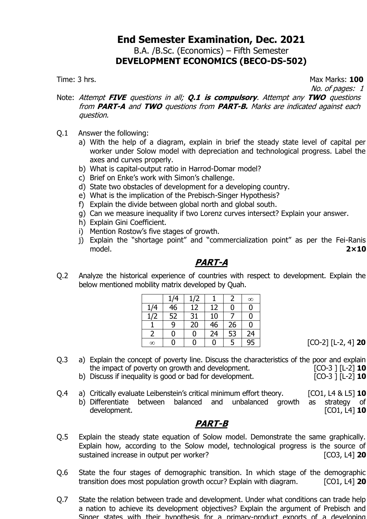### **End Semester Examination, Dec. 2021** B.A. /B.Sc. (Economics) – Fifth Semester **DEVELOPMENT ECONOMICS (BECO-DS-502)**

Time: 3 hrs. Max Marks: **100**

No. of pages: 1

- Note: Attempt **FIVE** questions in all; **Q.1 is compulsory**. Attempt any **TWO** questions from **PART-A** and **TWO** questions from **PART-B.** Marks are indicated against each question.
- Q.1 Answer the following:
	- a) With the help of a diagram, explain in brief the steady state level of capital per worker under Solow model with depreciation and technological progress. Label the axes and curves properly.
	- b) What is capital-output ratio in Harrod-Domar model?
	- c) Brief on Enke's work with Simon's challenge.
	- d) State two obstacles of development for a developing country.
	- e) What is the implication of the Prebisch-Singer Hypothesis?
	- f) Explain the divide between global north and global south.
	- g) Can we measure inequality if two Lorenz curves intersect? Explain your answer.
	- h) Explain Gini Coefficient.
	- i) Mention Rostow's five stages of growth.
	- j) Explain the "shortage point" and "commercialization point" as per the Fei-Ranis model. **2×10**

## **PART-A**

Q.2 Analyze the historical experience of countries with respect to development. Explain the below mentioned mobility matrix developed by Quah.

|          | 1/4             | 1/2 |    |    | $\infty$ |
|----------|-----------------|-----|----|----|----------|
| 1/4      | 46              | 12  | 12 | 0  | 0        |
| 1/2      | $\overline{52}$ | 31  | 10 |    | 0        |
|          | 9               | 20  | 46 | 26 | 0        |
|          | 0               | 0   | 24 | 53 | 24       |
| $\infty$ |                 |     | 0  | 5  | 95       |

0 0 0 5 95 [CO-2] [L-2, 4] **20**

- Q.3 a) Explain the concept of poverty line. Discuss the characteristics of the poor and explain the impact of poverty on growth and development. [CO-3 ] [L-2] **10**<br>Discuss if inequality is good or bad for development. [CO-3 ] [L-2] **10** 
	- b) Discuss if inequality is good or bad for development.
- Q.4 a) Critically evaluate Leibenstein's critical minimum effort theory. [CO1, L4 & L5] **10** b) Differentiate between balanced and unbalanced growth as strategy of development. [CO1, L4] **10**

- Q.5 Explain the steady state equation of Solow model. Demonstrate the same graphically. Explain how, according to the Solow model, technological progress is the source of sustained increase in output per worker? *CO3,* **L4] 20**
- Q.6 State the four stages of demographic transition. In which stage of the demographic transition does most population growth occur? Explain with diagram. [CO1, L4] **20**
- Q.7 State the relation between trade and development. Under what conditions can trade help a nation to achieve its development objectives? Explain the argument of Prebisch and Singer states with their hypothesis for a primary-product exports of a developing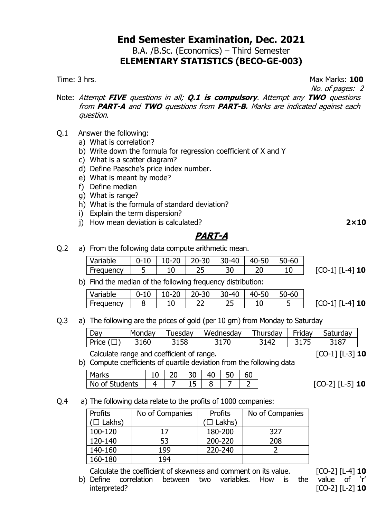### **End Semester Examination, Dec. 2021** B.A. /B.Sc. (Economics) – Third Semester **ELEMENTARY STATISTICS (BECO-GE-003)**

Time: 3 hrs. Max Marks: **100**

No. of pages: 2

- Note: Attempt **FIVE** questions in all; **Q.1 is compulsory**. Attempt any **TWO** questions from **PART-A** and **TWO** questions from **PART-B.** Marks are indicated against each question.
- Q.1 Answer the following:
	- a) What is correlation?
	- b) Write down the formula for regression coefficient of X and Y
	- c) What is a scatter diagram?
	- d) Define Paasche's price index number.
	- e) What is meant by mode?
	- f) Define median
	- g) What is range?
	- h) What is the formula of standard deviation?
	- i) Explain the term dispersion?
	- j) How mean deviation is calculated? **2×10**

## **PART-A**

Q.2 a) From the following data compute arithmetic mean.

b) Find the median of the following frequency distribution:

| Variable  |  | $\vert$ 0-10 $\vert$ 10-20 $\vert$ 20-30 $\vert$ 30-40 $\vert$ 40-50 $\vert$ | $50 - 60$ |                     |
|-----------|--|------------------------------------------------------------------------------|-----------|---------------------|
| Frequency |  |                                                                              |           | $[CO-1]$ $[L-4]$ 10 |

Q.3 a) The following are the prices of gold (per 10 gm) from Monday to Saturday

| Dav.  | Monday | uesday | Wednesdav | Thursday | Friday | $\sim$<br>Saturday |
|-------|--------|--------|-----------|----------|--------|--------------------|
| Price | .60    | 158    |           | 41،      |        | 3187               |

Calculate range and coefficient of range. [CO-1] [L-3] **10**

b) Compute coefficients of quartile deviation from the following data

| arks<br>ıаı              |  | י ر |  |  |
|--------------------------|--|-----|--|--|
| <b>No</b><br>udents<br>Ő |  |     |  |  |

 $[CO-2]$   $[L-5]$  10

Q.4 a) The following data relate to the profits of 1000 companies:

| Profits        | No of Companies | Profits       | No of Companies |
|----------------|-----------------|---------------|-----------------|
| $(\Box$ Lakhs) |                 | $\Box$ Lakhs) |                 |
| 100-120        | 17              | 180-200       | 327             |
| 120-140        | 53              | 200-220       | 208             |
| 140-160        | 199             | 220-240       |                 |
| 160-180        | 194             |               |                 |

Calculate the coefficient of skewness and comment on its value. [CO-2] [L-4] **10**

b) Define correlation between two variables. How is the value of 'r' interpreted? [CO-2] [L-2] **10**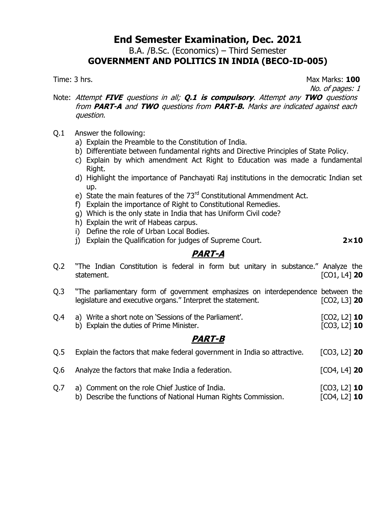B.A. /B.Sc. (Economics) – Third Semester

# **GOVERNMENT AND POLITICS IN INDIA (BECO-ID-005)**

Time: 3 hrs. **100** 

No. of pages: 1

- Note: Attempt **FIVE** questions in all; **Q.1 is compulsory**. Attempt any **TWO** questions from **PART-A** and **TWO** questions from **PART-B.** Marks are indicated against each question.
- Q.1 Answer the following:
	- a) Explain the Preamble to the Constitution of India.
	- b) Differentiate between fundamental rights and Directive Principles of State Policy.
	- c) Explain by which amendment Act Right to Education was made a fundamental Right.
	- d) Highlight the importance of Panchayati Raj institutions in the democratic Indian set up.
	- e) State the main features of the 73<sup>rd</sup> Constitutional Ammendment Act.
	- f) Explain the importance of Right to Constitutional Remedies.
	- g) Which is the only state in India that has Uniform Civil code?
	- h) Explain the writ of Habeas carpus.
	- i) Define the role of Urban Local Bodies.
	- j) Explain the Qualification for judges of Supreme Court. **2×10**

## **PART-A**

| Q.2 | "The Indian Constitution is federal in form but unitary in substance." Analyze the<br>statement.                                               | $[CO1, L4]$ 20 |  |  |  |  |
|-----|------------------------------------------------------------------------------------------------------------------------------------------------|----------------|--|--|--|--|
| Q.3 | "The parliamentary form of government emphasizes on interdependence between the<br>legislature and executive organs." Interpret the statement. | $[CO2, L3]$ 20 |  |  |  |  |
| Q.4 | a) Write a short note on 'Sessions of the Parliament'.<br>b) Explain the duties of Prime Minister.                                             |                |  |  |  |  |
|     | <i><b>PART-B</b></i>                                                                                                                           |                |  |  |  |  |
| Q.5 | Explain the factors that make federal government in India so attractive.                                                                       | $[CO3, L2]$ 20 |  |  |  |  |
| Q.6 | Analyze the factors that make India a federation.                                                                                              | $[CO4, L4]$ 20 |  |  |  |  |
| Q.7 | a) Comment on the role Chief Justice of India.                                                                                                 | $[CO3, L2]$ 10 |  |  |  |  |

b) Describe the functions of National Human Rights Commission. [CO4, L2] **10**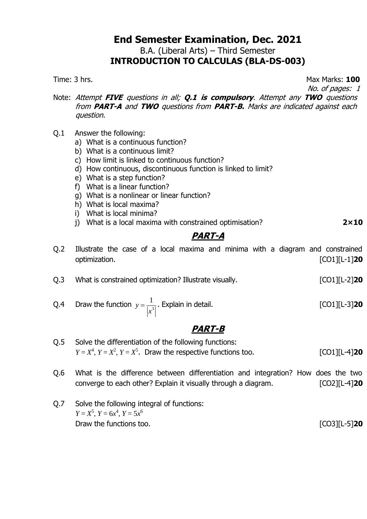B.A. (Liberal Arts) – Third Semester

# **INTRODUCTION TO CALCULAS (BLA-DS-003)**

Time: 3 hrs. **100** 

No. of pages: 1

- Note: Attempt **FIVE** questions in all; **Q.1 is compulsory**. Attempt any **TWO** questions from **PART-A** and **TWO** questions from **PART-B.** Marks are indicated against each question.
- Q.1 Answer the following:
	- a) What is a continuous function?
	- b) What is a continuous limit?
	- c) How limit is linked to continuous function?
	- d) How continuous, discontinuous function is linked to limit?
	- e) What is a step function?
	- f) What is a linear function?
	- g) What is a nonlinear or linear function?
	- h) What is local maxima?
	- i) What is local minima?
	- j) What is a local maxima with constrained optimisation? **2×10**

# **PART-A**

- Q.2 Illustrate the case of a local maxima and minima with a diagram and constrained optimization. [CO1][L-1]**20**
- Q.3 What is constrained optimization? Illustrate visually. [CO1][L-2]**20**
- Q.4 Draw the function  $y = \frac{1}{|x|^3}$  $y = \frac{1}{1}$ *x*  $=\frac{1}{1.21}$ . Explain in detail. **[CO1]**[L-3] **20**

- Q.5 Solve the differentiation of the following functions:  $Y = X^4$ ,  $Y = X^2$ ,  $Y = X^5$ . Draw the respective functions too. [CO1][L-4]20
- Q.6 What is the difference between differentiation and integration? How does the two converge to each other? Explain it visually through a diagram. [CO2][L-4]**20**
- Q.7 Solve the following integral of functions:  $Y = X^5$ ,  $Y = 6x^4$ ,  $Y = 5x^6$ Draw the functions too. **Example 20 CO3** [CO3][L-5] **20**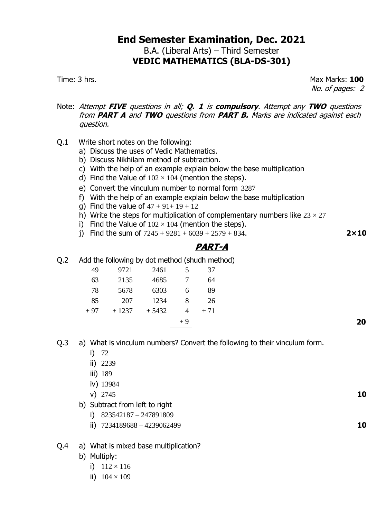### **End Semester Examination, Dec. 2021** B.A. (Liberal Arts) – Third Semester **VEDIC MATHEMATICS (BLA-DS-301)**

Time: 3 hrs. Max Marks: **100** No. of pages: 2

- Note: Attempt **FIVE** questions in all; **Q. 1** is **compulsory**. Attempt any **TWO** questions from **PART A** and **TWO** questions from **PART B.** Marks are indicated against each question.
- Q.1 Write short notes on the following:
	- a) Discuss the uses of Vedic Mathematics.
	- b) Discuss Nikhilam method of subtraction.
	- c) With the help of an example explain below the base multiplication
	- d) Find the Value of  $102 \times 104$  (mention the steps).
	- e) Convert the vinculum number to normal form 3287
	- f) With the help of an example explain below the base multiplication
	- q) Find the value of  $47 + 91 + 19 + 12$
	- h) Write the steps for multiplication of complementary numbers like  $23 \times 27$
	- i) Find the Value of  $102 \times 104$  (mention the steps).
	- i) Find the sum of  $7245 + 9281 + 6039 + 2579 + 834$ .

# **PART-A**

Q.2 Add the following by dot method (shudh method)

|    | 37  |      | 9721 2461 5 |                              | 49 |
|----|-----|------|-------------|------------------------------|----|
|    | 64  |      | 4685 7      | 2135                         | 63 |
|    | 89  |      |             | 78 5678 6303 6               |    |
|    | -26 |      | 207 1234 8  |                              | 85 |
|    |     |      |             | $+97 + 1237 + 5432 + 4 + 71$ |    |
| 20 |     | $+9$ |             |                              |    |
|    |     |      |             |                              |    |

- Q.3 a) What is vinculum numbers? Convert the following to their vinculum form.
	- i) 72
	- ii) 2239
	- iii) 189
	- iv) 13984
	- v) 2745 **10**
	- b) Subtract from left to right
		- i) 823542187 247891809
		- ii) 7234189688 4239062499 **10**

#### Q.4 a) What is mixed base multiplication?

- b) Multiply:
	- i)  $112 \times 116$
	- ii)  $104 \times 109$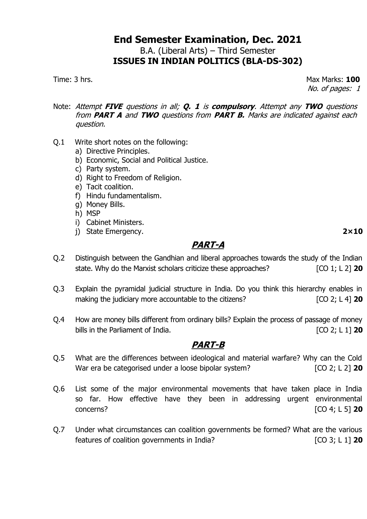B.A. (Liberal Arts) – Third Semester **ISSUES IN INDIAN POLITICS (BLA-DS-302)**

Time: 3 hrs. **100** No. of pages: 1

- Note: Attempt **FIVE** questions in all; **Q. 1** is **compulsory**. Attempt any **TWO** questions from **PART A** and **TWO** questions from **PART B.** Marks are indicated against each question.
- Q.1 Write short notes on the following:
	- a) Directive Principles.
	- b) Economic, Social and Political Justice.
	- c) Party system.
	- d) Right to Freedom of Religion.
	- e) Tacit coalition.
	- f) Hindu fundamentalism.
	- g) Money Bills.
	- h) MSP
	- i) Cabinet Ministers.
	- j) State Emergency. **2×10**

# **PART-A**

- Q.2 Distinguish between the Gandhian and liberal approaches towards the study of the Indian state. Why do the Marxist scholars criticize these approaches? [CO 1; L 2] **20**
- Q.3 Explain the pyramidal judicial structure in India. Do you think this hierarchy enables in making the judiciary more accountable to the citizens? **Example 10 CO 2**; L 4] **20**
- Q.4 How are money bills different from ordinary bills? Explain the process of passage of money bills in the Parliament of India. [CO 2; L 1] **20**

- Q.5 What are the differences between ideological and material warfare? Why can the Cold War era be categorised under a loose bipolar system? [CO 2; L 2] 20
- Q.6 List some of the major environmental movements that have taken place in India so far. How effective have they been in addressing urgent environmental concerns? [CO 4; L 5] **20**
- Q.7 Under what circumstances can coalition governments be formed? What are the various features of coalition governments in India? [CO 3; L 1] **20**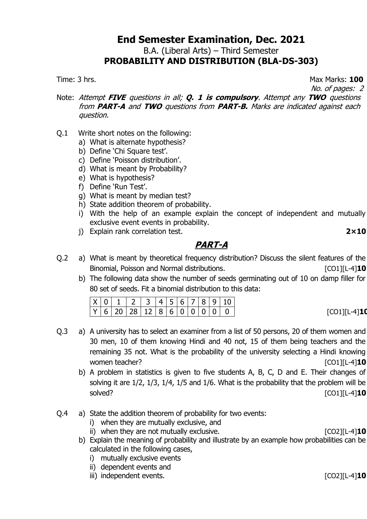B.A. (Liberal Arts) – Third Semester

#### **PROBABILITY AND DISTRIBUTION (BLA-DS-303)**

Time: 3 hrs. Max Marks: **100**

No. of pages: 2

- Note: Attempt **FIVE** questions in all; **Q. 1 is compulsory**. Attempt any **TWO** questions from **PART-A** and **TWO** questions from **PART-B.** Marks are indicated against each question.
- Q.1 Write short notes on the following:
	- a) What is alternate hypothesis?
	- b) Define 'Chi Square test'.
	- c) Define 'Poisson distribution'.
	- d) What is meant by Probability?
	- e) What is hypothesis?
	- f) Define 'Run Test'.
	- g) What is meant by median test?
	- h) State addition theorem of probability.
	- i) With the help of an example explain the concept of independent and mutually exclusive event events in probability.
	- j) Explain rank correlation test. **2×10**

# **PART-A**

- Q.2 a) What is meant by theoretical frequency distribution? Discuss the silent features of the Binomial, Poisson and Normal distributions. [CO1][L-4]**10**
	- b) The following data show the number of seeds germinating out of 10 on damp filler for 80 set of seeds. Fit a binomial distribution to this data:

- Q.3 a) A university has to select an examiner from a list of 50 persons, 20 of them women and 30 men, 10 of them knowing Hindi and 40 not, 15 of them being teachers and the remaining 35 not. What is the probability of the university selecting a Hindi knowing women teacher? **[CO1][L-4]** 10
	- b) A problem in statistics is given to five students A, B, C, D and E. Their changes of solving it are 1/2, 1/3, 1/4, 1/5 and 1/6. What is the probability that the problem will be solved? [CO1][L-4]**10**
- Q.4 a) State the addition theorem of probability for two events:
	- i) when they are mutually exclusive, and
	- ii) when they are not mutually exclusive. [CO2][L-4]**10**
	- b) Explain the meaning of probability and illustrate by an example how probabilities can be calculated in the following cases,
		- i) mutually exclusive events
		- ii) dependent events and
		- iii) independent events. [CO2][L-4]**10**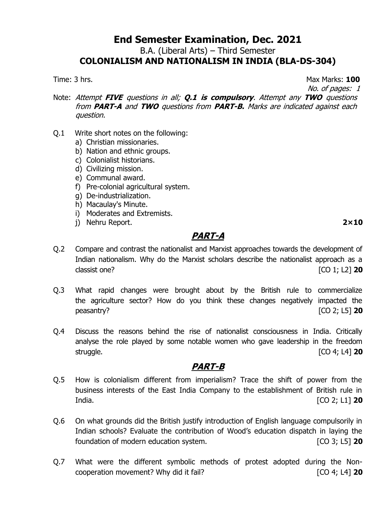B.A. (Liberal Arts) – Third Semester

# **COLONIALISM AND NATIONALISM IN INDIA (BLA-DS-304)**

Time: 3 hrs. Max Marks: **100**

No. of pages: 1

Note: Attempt **FIVE** questions in all; **Q.1 is compulsory**. Attempt any **TWO** questions from **PART-A** and **TWO** questions from **PART-B.** Marks are indicated against each question.

- Q.1 Write short notes on the following:
	- a) Christian missionaries.
	- b) Nation and ethnic groups.
	- c) Colonialist historians.
	- d) Civilizing mission.
	- e) Communal award.
	- f) Pre-colonial agricultural system.
	- g) De-industrialization.
	- h) Macaulay's Minute.
	- i) Moderates and Extremists.
	- j) Nehru Report. **2×10**

#### **PART-A**

- Q.2 Compare and contrast the nationalist and Marxist approaches towards the development of Indian nationalism. Why do the Marxist scholars describe the nationalist approach as a classist one? [CO 1; L2] **20**
- Q.3 What rapid changes were brought about by the British rule to commercialize the agriculture sector? How do you think these changes negatively impacted the peasantry? [CO 2; L5] **20**
- Q.4 Discuss the reasons behind the rise of nationalist consciousness in India. Critically analyse the role played by some notable women who gave leadership in the freedom struggle. [CO 4; L4] **20**

- Q.5 How is colonialism different from imperialism? Trace the shift of power from the business interests of the East India Company to the establishment of British rule in India. [CO 2; L1] **20**
- Q.6 On what grounds did the British justify introduction of English language compulsorily in Indian schools? Evaluate the contribution of Wood's education dispatch in laying the foundation of modern education system. [CO 3; L5] **20**
- Q.7 What were the different symbolic methods of protest adopted during the Noncooperation movement? Why did it fail? [CO 4; L4] **20**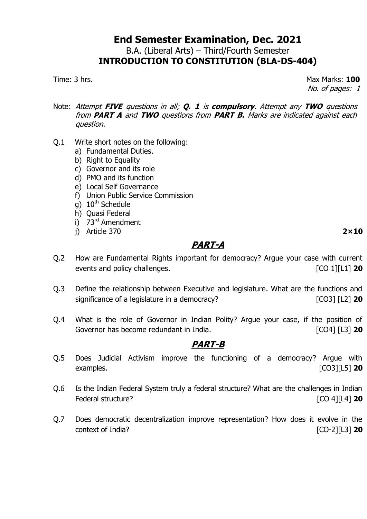#### **End Semester Examination, Dec. 2021** B.A. (Liberal Arts) – Third/Fourth Semester

# **INTRODUCTION TO CONSTITUTION (BLA-DS-404)**

Time: 3 hrs. **100** No. of pages: 1

Note: Attempt **FIVE** questions in all; **Q. 1** is **compulsory**. Attempt any **TWO** questions from **PART A** and **TWO** questions from **PART B.** Marks are indicated against each question.

- Q.1 Write short notes on the following:
	- a) Fundamental Duties.
	- b) Right to Equality
	- c) Governor and its role
	- d) PMO and its function
	- e) Local Self Governance
	- f) Union Public Service Commission
	- $\sigma$ ) 10<sup>th</sup> Schedule
	- h) Quasi Federal
	- $i)$  73<sup>rd</sup> Amendment
	- j) Article 370 **2×10**

# **PART-A**

- Q.2 How are Fundamental Rights important for democracy? Argue your case with current events and policy challenges. **Example 20 EXECUTE:**  $[CO 1][L1]$  **20**
- Q.3 Define the relationship between Executive and legislature. What are the functions and significance of a legislature in a democracy? [CO3] [L2] **20**
- Q.4 What is the role of Governor in Indian Polity? Argue your case, if the position of Governor has become redundant in India. **Example 20** [CO4] [L3] **20**

- Q.5 Does Judicial Activism improve the functioning of a democracy? Argue with examples. [CO3][L5] **20**
- Q.6 Is the Indian Federal System truly a federal structure? What are the challenges in Indian Federal structure? [CO 4][L4] **20**
- Q.7 Does democratic decentralization improve representation? How does it evolve in the context of India? [CO-2][L3] **20**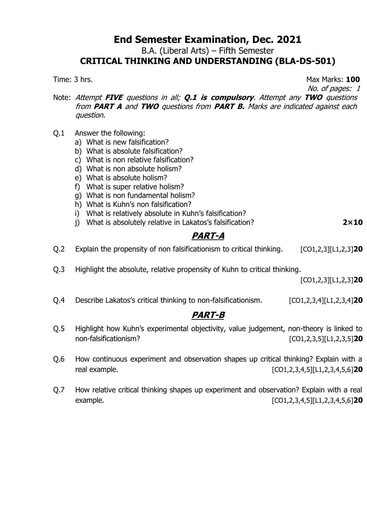B.A. (Liberal Arts) – Fifth Semester

## **CRITICAL THINKING AND UNDERSTANDING (BLA-DS-501)**

Time: 3 hrs. **100** 

No. of pages: 1

Note: Attempt **FIVE** questions in all; **Q.1 is compulsory**. Attempt any **TWO** questions from **PART A** and **TWO** questions from **PART B.** Marks are indicated against each question.

- Q.1 Answer the following:
	- a) What is new falsification?
	- b) What is absolute falsification?
	- c) What is non relative falsification?
	- d) What is non absolute holism?
	- e) What is absolute holism?
	- f) What is super relative holism?
	- g) What is non fundamental holism?
	- h) What is Kuhn's non falsification?
	- i) What is relatively absolute in Kuhn's falsification?
	- j) What is absolutely relative in Lakatos's falsification? **2×10**

## **PART-A**

Q.2 Explain the propensity of non falsificationism to critical thinking. [CO1,2,3][L1,2,3]**20**

Q.3 Highlight the absolute, relative propensity of Kuhn to critical thinking.

[CO1,2,3][L1,2,3]**20**

Q.4 Describe Lakatos's critical thinking to non-falsificationism. [CO1,2,3,4][L1,2,3,4]**20**

- Q.5 Highlight how Kuhn's experimental objectivity, value judgement, non-theory is linked to non-falsificationism? [CO1,2,3,5][L1,2,3,5]**20**
- Q.6 How continuous experiment and observation shapes up critical thinking? Explain with a real example. [CO1,2,3,4,5][L1,2,3,4,5,6]**20**
- Q.7 How relative critical thinking shapes up experiment and observation? Explain with a real example. [CO1,2,3,4,5][L1,2,3,4,5,6]**20**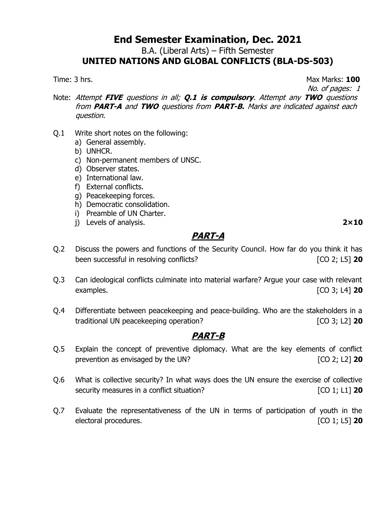B.A. (Liberal Arts) – Fifth Semester

## **UNITED NATIONS AND GLOBAL CONFLICTS (BLA-DS-503)**

Time: 3 hrs. **100** 

No. of pages: 1

- Note: Attempt **FIVE** questions in all; **Q.1 is compulsory**. Attempt any **TWO** questions from **PART-A** and **TWO** questions from **PART-B.** Marks are indicated against each question.
- Q.1 Write short notes on the following:
	- a) General assembly.
	- b) UNHCR.
	- c) Non-permanent members of UNSC.
	- d) Observer states.
	- e) International law.
	- f) External conflicts.
	- g) Peacekeeping forces.
	- h) Democratic consolidation.
	- i) Preamble of UN Charter.
	- j) Levels of analysis. **2×10**

# **PART-A**

- Q.2 Discuss the powers and functions of the Security Council. How far do you think it has been successful in resolving conflicts? [CO 2; L5] **20**
- Q.3 Can ideological conflicts culminate into material warfare? Argue your case with relevant examples. [CO 3; L4] **20**
- Q.4 Differentiate between peacekeeping and peace-building. Who are the stakeholders in a traditional UN peacekeeping operation? [CO 3; L2] **20**

- Q.5 Explain the concept of preventive diplomacy. What are the key elements of conflict prevention as envisaged by the UN? **Example 20** [CO 2; L2] **20**
- Q.6 What is collective security? In what ways does the UN ensure the exercise of collective security measures in a conflict situation? **[CO 1**; L1] **20**
- Q.7 Evaluate the representativeness of the UN in terms of participation of youth in the electoral procedures. [CO 1; L5] **20**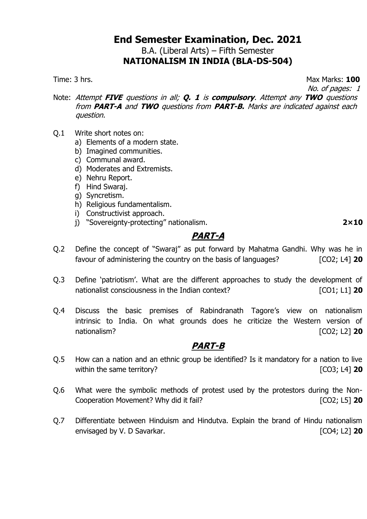# **End Semester Examination, Dec. 2021** B.A. (Liberal Arts) – Fifth Semester

### **NATIONALISM IN INDIA (BLA-DS-504)**

Time: 3 hrs. **100** 

No. of pages: 1

- Note: Attempt **FIVE** questions in all; **Q. 1** is **compulsory**. Attempt any **TWO** questions from **PART-A** and **TWO** questions from **PART-B.** Marks are indicated against each question.
- Q.1 Write short notes on:
	- a) Elements of a modern state.
	- b) Imagined communities.
	- c) Communal award.
	- d) Moderates and Extremists.
	- e) Nehru Report.
	- f) Hind Swaraj.
	- g) Syncretism.
	- h) Religious fundamentalism.
	- i) Constructivist approach.
	- j) "Sovereignty-protecting" nationalism. **2×10**

# **PART-A**

- Q.2 Define the concept of "Swaraj" as put forward by Mahatma Gandhi. Why was he in favour of administering the country on the basis of languages? [CO2; L4] **20**
- Q.3 Define 'patriotism'. What are the different approaches to study the development of nationalist consciousness in the Indian context? [CO1; L1] **20**
- Q.4 Discuss the basic premises of Rabindranath Tagore's view on nationalism intrinsic to India. On what grounds does he criticize the Western version of nationalism? [CO2; L2] **20**

- Q.5 How can a nation and an ethnic group be identified? Is it mandatory for a nation to live within the same territory? **Example 20 CO3**; L4] **20**
- Q.6 What were the symbolic methods of protest used by the protestors during the Non-Cooperation Movement? Why did it fail? **Example 20** [CO2; L5] **20**
- Q.7 Differentiate between Hinduism and Hindutva. Explain the brand of Hindu nationalism envisaged by V. D Savarkar. **Example 20** and the same state of  $[CO4; L2]$  20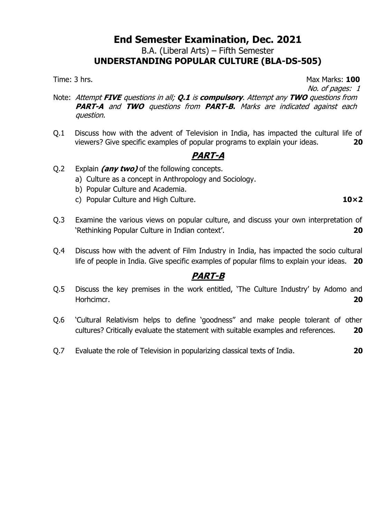B.A. (Liberal Arts) – Fifth Semester

# **UNDERSTANDING POPULAR CULTURE (BLA-DS-505)**

Time: 3 hrs. **100** 

No. of pages: 1

- Note: Attempt **FIVE** questions in all; **Q.1** is **compulsory**. Attempt any **TWO** questions from **PART-A** and **TWO** questions from **PART-B.** Marks are indicated against each question.
- Q.1 Discuss how with the advent of Television in India, has impacted the cultural life of viewers? Give specific examples of popular programs to explain your ideas. **20**

# **PART-A**

- Q.2 Explain **(any two)** of the following concepts.
	- a) Culture as a concept in Anthropology and Sociology.
	- b) Popular Culture and Academia.
	- c) Popular Culture and High Culture. **10×2**
- Q.3 Examine the various views on popular culture, and discuss your own interpretation of 'Rethinking Popular Culture in Indian context'. **20**
- Q.4 Discuss how with the advent of Film Industry in India, has impacted the socio cultural life of people in India. Give specific examples of popular films to explain your ideas. **20**

- Q.5 Discuss the key premises in the work entitled, 'The Culture Industry' by Adomo and Horhcimcr. **20**
- Q.6 'Cultural Relativism helps to define 'goodness'' and make people tolerant of other cultures? Critically evaluate the statement with suitable examples and references. **20**
- Q.7 Evaluate the role of Television in popularizing classical texts of India. **20**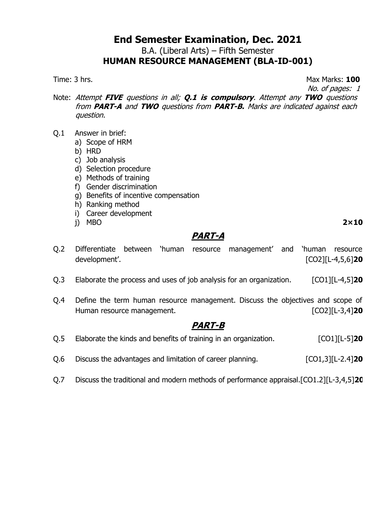B.A. (Liberal Arts) – Fifth Semester

# **HUMAN RESOURCE MANAGEMENT (BLA-ID-001)**

Time: 3 hrs. **100** 

No. of pages: 1

Note: Attempt **FIVE** questions in all; **Q.1 is compulsory**. Attempt any **TWO** questions from **PART-A** and **TWO** questions from **PART-B.** Marks are indicated against each question.

- Q.1 Answer in brief:
	- a) Scope of HRM
	- b) HRD
	- c) Job analysis
	- d) Selection procedure
	- e) Methods of training
	- f) Gender discrimination
	- g) Benefits of incentive compensation
	- h) Ranking method
	- i) Career development
	- j) MBO **2×10**

#### **PART-A**

- Q.2 Differentiate between 'human resource management' and 'human resource development'. [CO2][L-4,5,6]**20**
- Q.3 Elaborate the process and uses of job analysis for an organization. [CO1][L-4,5]**20**
- Q.4 Define the term human resource management. Discuss the objectives and scope of Human resource management. **Example 20 EXECUTE** 120

- Q.5 Elaborate the kinds and benefits of training in an organization. [CO1][L-5]**20**
- Q.6 Discuss the advantages and limitation of career planning. [CO1,3][L-2.4]**20**
- Q.7 Discuss the traditional and modern methods of performance appraisal.[CO1.2][L-3,4,5]**20**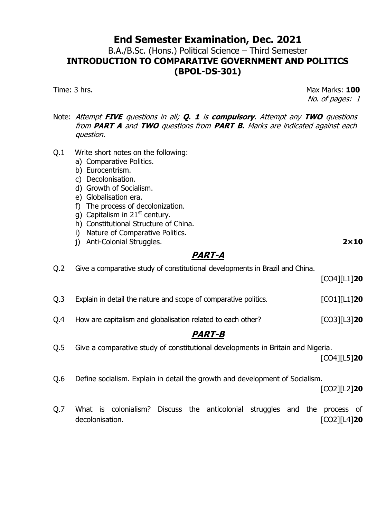# **End Semester Examination, Dec. 2021** B.A./B.Sc. (Hons.) Political Science – Third Semester **INTRODUCTION TO COMPARATIVE GOVERNMENT AND POLITICS (BPOL-DS-301)**

Time: 3 hrs. **100** No. of pages: 1

- Note: Attempt **FIVE** questions in all; **Q. 1** is **compulsory**. Attempt any **TWO** questions from **PART A** and **TWO** questions from **PART B.** Marks are indicated against each question.
- Q.1 Write short notes on the following:
	- a) Comparative Politics.
	- b) Eurocentrism.
	- c) Decolonisation.
	- d) Growth of Socialism.
	- e) Globalisation era.
	- f) The process of decolonization.
	- g) Capitalism in  $21<sup>st</sup>$  century.
	- h) Constitutional Structure of China.
	- i) Nature of Comparative Politics.
	- j) Anti-Colonial Struggles. **2×10**

## **PART-A**

- Q.2 Give a comparative study of constitutional developments in Brazil and China. [CO4][L1]**20** Q.3 Explain in detail the nature and scope of comparative politics. [CO1][L1]**20** Q.4 How are capitalism and globalisation related to each other? [CO3][L3]**20 PART-B** Q.5 Give a comparative study of constitutional developments in Britain and Nigeria. [CO4][L5]**20**
- Q.6 Define socialism. Explain in detail the growth and development of Socialism.

[CO2][L2]**20**

Q.7 What is colonialism? Discuss the anticolonial struggles and the process of decolonisation. **[CO2][L4] 20**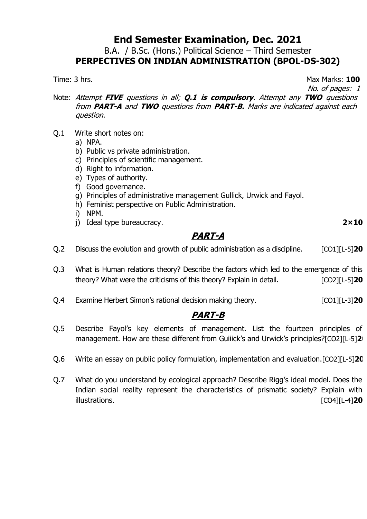B.A. / B.Sc. (Hons.) Political Science – Third Semester **PERPECTIVES ON INDIAN ADMINISTRATION (BPOL-DS-302)**

Time: 3 hrs. **100** 

No. of pages: 1

Note: Attempt **FIVE** questions in all; **Q.1 is compulsory**. Attempt any **TWO** questions from **PART-A** and **TWO** questions from **PART-B.** Marks are indicated against each question.

- Q.1 Write short notes on:
	- a) NPA.
	- b) Public vs private administration.
	- c) Principles of scientific management.
	- d) Right to information.
	- e) Types of authority.
	- f) Good governance.
	- g) Principles of administrative management Gullick, Urwick and Fayol.
	- h) Feminist perspective on Public Administration.
	- i) NPM.
	- j) Ideal type bureaucracy. **2×10**

**PART-A**

Q.2 Discuss the evolution and growth of public administration as a discipline. [CO1][L-5]**20**

- Q.3 What is Human relations theory? Describe the factors which led to the emergence of this theory? What were the criticisms of this theory? Explain in detail. [CO2][L-5]**20**
- Q.4 Examine Herbert Simon's rational decision making theory. [CO1][L-3]**20**

- Q.5 Describe Fayol's key elements of management. List the fourteen principles of management. How are these different from Guiiick's and Urwick's principles?[CO2][L-5]**20**
- Q.6 Write an essay on public policy formulation, implementation and evaluation.[CO2][L-5]**20**
- Q.7 What do you understand by ecological approach? Describe Rigg's ideal model. Does the Indian social reality represent the characteristics of prismatic society? Explain with illustrations. [CO4][L-4]**20**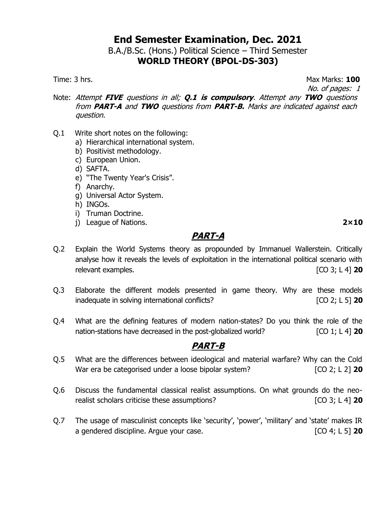## **End Semester Examination, Dec. 2021** B.A./B.Sc. (Hons.) Political Science – Third Semester

# **WORLD THEORY (BPOL-DS-303)**

Time: 3 hrs. **100** 

No. of pages: 1

- Note: Attempt **FIVE** questions in all; **Q.1 is compulsory**. Attempt any **TWO** questions from **PART-A** and **TWO** questions from **PART-B.** Marks are indicated against each question.
- Q.1 Write short notes on the following:
	- a) Hierarchical international system.
	- b) Positivist methodology.
	- c) European Union.
	- d) SAFTA.
	- e) "The Twenty Year's Crisis".
	- f) Anarchy.
	- g) Universal Actor System.
	- h) INGOs.
	- i) Truman Doctrine.
	- j) League of Nations. **2×10**

## **PART-A**

- Q.2 Explain the World Systems theory as propounded by Immanuel Wallerstein. Critically analyse how it reveals the levels of exploitation in the international political scenario with relevant examples. [CO 3; L 4] **20**
- Q.3 Elaborate the different models presented in game theory. Why are these models inadequate in solving international conflicts? [CO 2; L 5] **20**
- Q.4 What are the defining features of modern nation-states? Do you think the role of the nation-stations have decreased in the post-globalized world? **[CO 1**; L 4] **20**

- Q.5 What are the differences between ideological and material warfare? Why can the Cold War era be categorised under a loose bipolar system? **[CO 2**; L 2] 20
- Q.6 Discuss the fundamental classical realist assumptions. On what grounds do the neorealist scholars criticise these assumptions? [CO 3; L 4] **20**
- Q.7 The usage of masculinist concepts like 'security', 'power', 'military' and 'state' makes IR a gendered discipline. Argue your case. [CO 4; L 5] **20**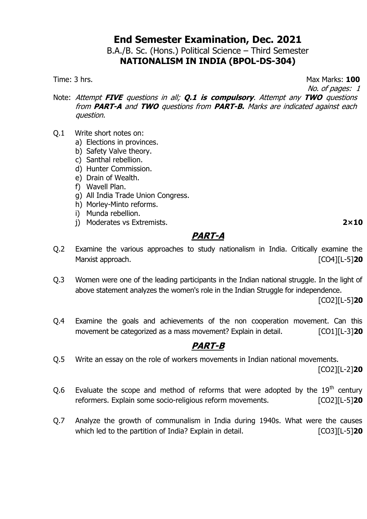# **End Semester Examination, Dec. 2021** B.A./B. Sc. (Hons.) Political Science – Third Semester

## **NATIONALISM IN INDIA (BPOL-DS-304)**

Time: 3 hrs. **100** 

No. of pages: 1

Note: Attempt **FIVE** questions in all; **Q.1 is compulsory**. Attempt any **TWO** questions from **PART-A** and **TWO** questions from **PART-B.** Marks are indicated against each question.

- Q.1 Write short notes on:
	- a) Elections in provinces.
	- b) Safety Valve theory.
	- c) Santhal rebellion.
	- d) Hunter Commission.
	- e) Drain of Wealth.
	- f) Wavell Plan.
	- g) All India Trade Union Congress.
	- h) Morley-Minto reforms.
	- i) Munda rebellion.
	- j) Moderates vs Extremists. **2×10**

## **PART-A**

- Q.2 Examine the various approaches to study nationalism in India. Critically examine the Marxist approach. [CO4][L-5]**20**
- Q.3 Women were one of the leading participants in the Indian national struggle. In the light of above statement analyzes the women's role in the Indian Struggle for independence.

[CO2][L-5]**20**

Q.4 Examine the goals and achievements of the non cooperation movement. Can this movement be categorized as a mass movement? Explain in detail. [CO1][L-3]20

#### **PART-B**

Q.5 Write an essay on the role of workers movements in Indian national movements.

[CO2][L-2]**20**

- Q.6 Evaluate the scope and method of reforms that were adopted by the  $19<sup>th</sup>$  century reformers. Explain some socio-religious reform movements. [CO2][L-5]**20**
- Q.7 Analyze the growth of communalism in India during 1940s. What were the causes which led to the partition of India? Explain in detail. [CO3][L-5]<sup>20</sup>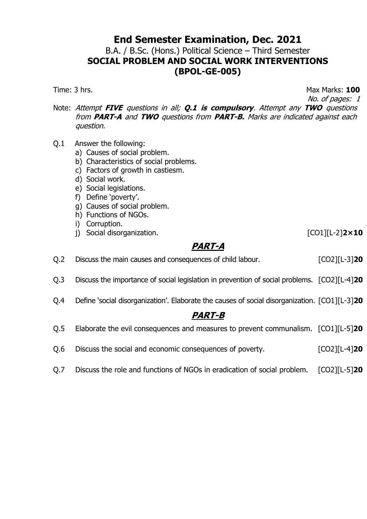B.A. / B.Sc. (Hons.) Political Science – Third Semester **SOCIAL PROBLEM AND SOCIAL WORK INTERVENTIONS (BPOL-GE-005)**

Time: 3 hrs. **100** No. of pages: 1

Note: Attempt **FIVE** questions in all; **Q.1 is compulsory**. Attempt any **TWO** questions from **PART-A** and **TWO** questions from **PART-B.** Marks are indicated against each question.

- Q.1 Answer the following:
	- a) Causes of social problem.
	- b) Characteristics of social problems.
	- c) Factors of growth in castiesm.
	- d) Social work.
	- e) Social legislations.
	- f) Define 'poverty'.
	- g) Causes of social problem.
	- h) Functions of NGOs.
	- i) Corruption.
	- j) Social disorganization. [CO1][L-2]**2×10**

# **PART-A**

| Q.2 | Discuss the main causes and consequences of child labour. | $[CO2][L-3]$ <b>20</b> |
|-----|-----------------------------------------------------------|------------------------|
|     |                                                           |                        |

- Q.3 Discuss the importance of social legislation in prevention of social problems. [CO2][L-4]**20**
- Q.4 Define 'social disorganization'. Elaborate the causes of social disorganization. [CO1][L-3]**20**

|  | Q.5 Elaborate the evil consequences and measures to prevent communalism. [CO1][L-5]20 |  |  |  |
|--|---------------------------------------------------------------------------------------|--|--|--|
|--|---------------------------------------------------------------------------------------|--|--|--|

- Q.6 Discuss the social and economic consequences of poverty. [CO2][L-4]**20**
- Q.7 Discuss the role and functions of NGOs in eradication of social problem. [CO2][L-5]**20**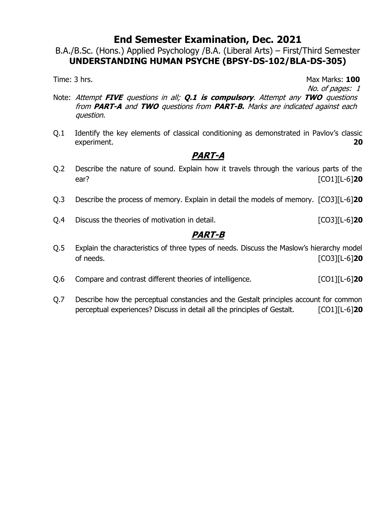B.A./B.Sc. (Hons.) Applied Psychology /B.A. (Liberal Arts) – First/Third Semester **UNDERSTANDING HUMAN PSYCHE (BPSY-DS-102/BLA-DS-305)**

Time: 3 hrs. **100** No. of pages: 1

- Note: Attempt **FIVE** questions in all; **Q.1 is compulsory**. Attempt any **TWO** questions from **PART-A** and **TWO** questions from **PART-B.** Marks are indicated against each question.
- Q.1 Identify the key elements of classical conditioning as demonstrated in Pavlov's classic experiment. **20**

# **PART-A**

- Q.2 Describe the nature of sound. Explain how it travels through the various parts of the ear? [CO1][L-6]**20**
- Q.3 Describe the process of memory. Explain in detail the models of memory. [CO3][L-6]**20**
- Q.4 Discuss the theories of motivation in detail. [CO3][L-6]**20**

- Q.5 Explain the characteristics of three types of needs. Discuss the Maslow's hierarchy model of needs. [CO3][L-6]**20**
- Q.6 Compare and contrast different theories of intelligence. [CO1][L-6]**20**
- Q.7 Describe how the perceptual constancies and the Gestalt principles account for common perceptual experiences? Discuss in detail all the principles of Gestalt. [CO1][L-6]**20**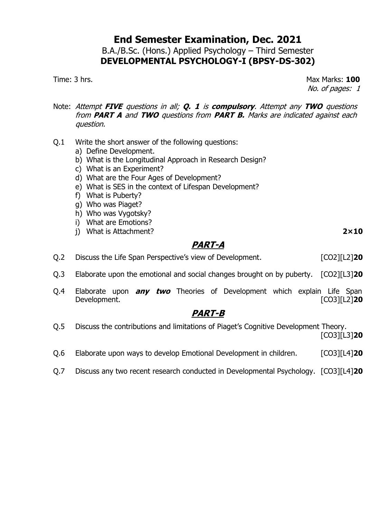### **End Semester Examination, Dec. 2021** B.A./B.Sc. (Hons.) Applied Psychology – Third Semester **DEVELOPMENTAL PSYCHOLOGY-I (BPSY-DS-302)**

Time: 3 hrs. Max Marks: **100** No. of pages: 1

- Note: Attempt **FIVE** questions in all; **Q. 1** is **compulsory**. Attempt any **TWO** questions from **PART A** and **TWO** questions from **PART B.** Marks are indicated against each question.
- Q.1 Write the short answer of the following questions:
	- a) Define Development.
	- b) What is the Longitudinal Approach in Research Design?
	- c) What is an Experiment?
	- d) What are the Four Ages of Development?
	- e) What is SES in the context of Lifespan Development?
	- f) What is Puberty?
	- g) Who was Piaget?
	- h) Who was Vygotsky?
	- i) What are Emotions?
	- j) What is Attachment? **2×10**

# **PART-A**

- Q.2 Discuss the Life Span Perspective's view of Development. [CO2][L2]**20**
- Q.3 Elaborate upon the emotional and social changes brought on by puberty. [CO2][L3]**20**
- Q.4 Elaborate upon **any two** Theories of Development which explain Life Span Development. [CO3][L2]**20**

- Q.5 Discuss the contributions and limitations of Piaget's Cognitive Development Theory. [CO3][L3]**20**
- Q.6 Elaborate upon ways to develop Emotional Development in children. [CO3][L4]**20**
- Q.7 Discuss any two recent research conducted in Developmental Psychology. [CO3][L4]**20**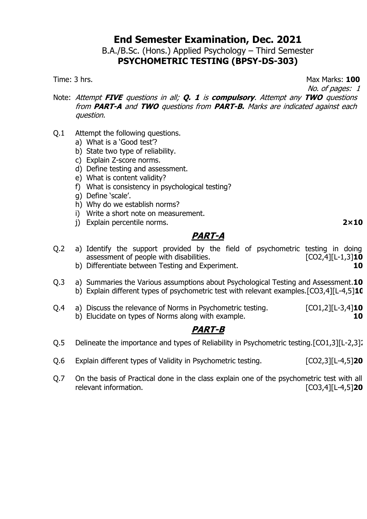B.A./B.Sc. (Hons.) Applied Psychology – Third Semester **PSYCHOMETRIC TESTING (BPSY-DS-303)**

Time: 3 hrs. **100** 

No. of pages: 1

- Note: Attempt **FIVE** questions in all; **Q. 1** is **compulsory**. Attempt any **TWO** questions from **PART-A** and **TWO** questions from **PART-B.** Marks are indicated against each question.
- Q.1 Attempt the following questions.
	- a) What is a 'Good test'?
	- b) State two type of reliability.
	- c) Explain Z-score norms.
	- d) Define testing and assessment.
	- e) What is content validity?
	- f) What is consistency in psychological testing?
	- g) Define 'scale'.
	- h) Why do we establish norms?
	- i) Write a short note on measurement.
	- j) Explain percentile norms. **2×10**

## **PART-A**

- Q.2 a) Identify the support provided by the field of psychometric testing in doing assessment of people with disabilities. [CO2,4][L-1,3]**10** b) Differentiate between Testing and Experiment. **10**
- Q.3 a) Summaries the Various assumptions about Psychological Testing and Assessment.**10** b) Explain different types of psychometric test with relevant examples.[CO3,4][L-4,5]**10**
- Q.4 a) Discuss the relevance of Norms in Psychometric testing. [CO1,2][L-3,4]**10** b) Elucidate on types of Norms along with example. **10**

- Q.5 Delineate the importance and types of Reliability in Psychometric testing.[CO1,3][L-2,3]<sup>2</sup>
- Q.6 Explain different types of Validity in Psychometric testing. [CO2,3][L-4,5]**20**
- Q.7 On the basis of Practical done in the class explain one of the psychometric test with all relevant information. [CO3,4][L-4,5]**20**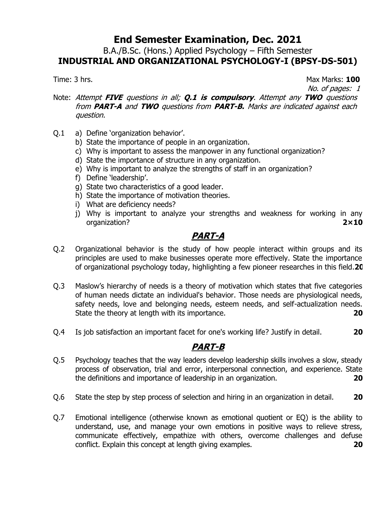B.A./B.Sc. (Hons.) Applied Psychology – Fifth Semester **INDUSTRIAL AND ORGANIZATIONAL PSYCHOLOGY-I (BPSY-DS-501)**

Time: 3 hrs. Max Marks: **100** No. of pages: 1

Note: Attempt **FIVE** questions in all; **Q.1 is compulsory**. Attempt any **TWO** questions from **PART-A** and **TWO** questions from **PART-B.** Marks are indicated against each question.

- Q.1 a) Define 'organization behavior'.
	- b) State the importance of people in an organization.
	- c) Why is important to assess the manpower in any functional organization?
	- d) State the importance of structure in any organization.
	- e) Why is important to analyze the strengths of staff in an organization?
	- f) Define 'leadership'.
	- g) State two characteristics of a good leader.
	- h) State the importance of motivation theories.
	- i) What are deficiency needs?
	- j) Why is important to analyze your strengths and weakness for working in any organization? **2×10**

# **PART-A**

- Q.2 Organizational behavior is the study of how people interact within groups and its principles are used to make businesses operate more effectively. State the importance of organizational psychology today, highlighting a few pioneer researches in this field.**20**
- Q.3 Maslow's hierarchy of needs is a theory of motivation which states that five categories of human needs dictate an individual's behavior. Those needs are physiological needs, safety needs, love and belonging needs, esteem needs, and self-actualization needs. State the theory at length with its importance. **20**
- Q.4 Is job satisfaction an important facet for one's working life? Justify in detail. **20**

- Q.5 Psychology teaches that the way leaders develop leadership skills involves a slow, steady process of observation, trial and error, interpersonal connection, and experience. State the definitions and importance of leadership in an organization. **20**
- Q.6 State the step by step process of selection and hiring in an organization in detail. **20**
- Q.7 Emotional intelligence (otherwise known as emotional quotient or EQ) is the ability to understand, use, and manage your own emotions in positive ways to relieve stress, communicate effectively, empathize with others, overcome challenges and defuse conflict. Explain this concept at length giving examples. **20**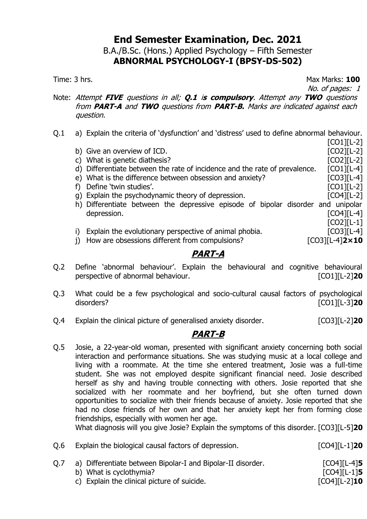B.A./B.Sc. (Hons.) Applied Psychology – Fifth Semester **ABNORMAL PSYCHOLOGY-I (BPSY-DS-502)**

Time: 3 hrs. Max Marks: **100**

No. of pages: 1

[CO1][L-2]

- Note: Attempt **FIVE** questions in all; **Q.1** i**<sup>s</sup> compulsory**. Attempt any **TWO** questions from **PART-A** and **TWO** questions from **PART-B.** Marks are indicated against each question.
- Q.1 a) Explain the criteria of 'dysfunction' and 'distress' used to define abnormal behaviour.
	- b) Give an overview of ICD.  $[CO2][L-2]$
	- c) What is genetic diathesis? [CO2][L-2]
	- d) Differentiate between the rate of incidence and the rate of prevalence. [CO1][L-4]
	- e) What is the difference between obsession and anxiety? [CO3][L-4]
	- f) Define 'twin studies'.
	- g) Explain the psychodynamic theory of depression. [CO4][L-2]
	- h) Differentiate between the depressive episode of bipolar disorder and unipolar depression. [CO4][L-4] [CO2][L-1]
	- i) Explain the evolutionary perspective of animal phobia. [CO3][L-4]
	- j) How are obsessions different from compulsions? [CO3][L-4]**2×10**

# **PART-A**

- Q.2 Define 'abnormal behaviour'. Explain the behavioural and cognitive behavioural perspective of abnormal behaviour. [CO1][L-2]**20**
- Q.3 What could be a few psychological and socio-cultural causal factors of psychological disorders? [CO1][L-3]**20**
- Q.4 Explain the clinical picture of generalised anxiety disorder. [CO3][L-2]**20**

# **PART-B**

Q.5 Josie, a 22-year-old woman, presented with significant anxiety concerning both social interaction and performance situations. She was studying music at a local college and living with a roommate. At the time she entered treatment, Josie was a full-time student. She was not employed despite significant financial need. Josie described herself as shy and having trouble connecting with others. Josie reported that she socialized with her roommate and her boyfriend, but she often turned down opportunities to socialize with their friends because of anxiety. Josie reported that she had no close friends of her own and that her anxiety kept her from forming close friendships, especially with women her age.

What diagnosis will you give Josie? Explain the symptoms of this disorder. [CO3][L-5]**20**

- Q.6 Explain the biological causal factors of depression. [CO4][L-1]**20**
- Q.7 a) Differentiate between Bipolar-I and Bipolar-II disorder. [CO4][L-4]**5** b) What is cyclothymia? **[CO4][L-1]5** c) Explain the clinical picture of suicide. [CO4][L-2]**10**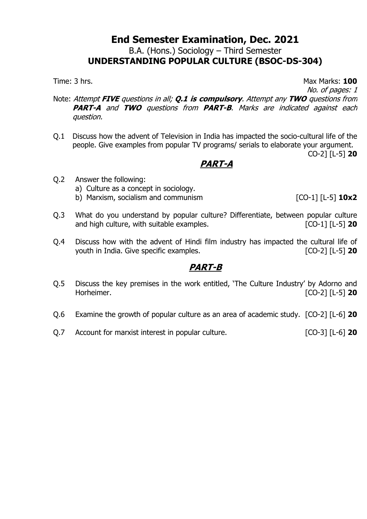B.A. (Hons.) Sociology – Third Semester

# **UNDERSTANDING POPULAR CULTURE (BSOC-DS-304)**

Time: 3 hrs. **100** 

No. of pages: 1

- Note: Attempt **FIVE** questions in all; **Q.1 is compulsory**. Attempt any **TWO** questions from **PART-A** and **TWO** questions from **PART-B**. Marks are indicated against each question.
- Q.1 Discuss how the advent of Television in India has impacted the socio-cultural life of the people. Give examples from popular TV programs/ serials to elaborate your argument. CO-2] [L-5] **20**

### **PART-A**

- Q.2 Answer the following:
	- a) Culture as a concept in sociology.
	- b) Marxism, socialism and communism [CO-1] [L-5] **10x2**
- Q.3 What do you understand by popular culture? Differentiate, between popular culture and high culture, with suitable examples. [CO-1] [L-5] **20**
- Q.4 Discuss how with the advent of Hindi film industry has impacted the cultural life of youth in India. Give specific examples. [CO-2] [L-5] **20**

- Q.5 Discuss the key premises in the work entitled, 'The Culture Industry' by Adorno and Horheimer. [CO-2] [L-5] **20**
- Q.6 Examine the growth of popular culture as an area of academic study. [CO-2] [L-6] **20**
- Q.7 Account for marxist interest in popular culture. [CO-3] [L-6] **20**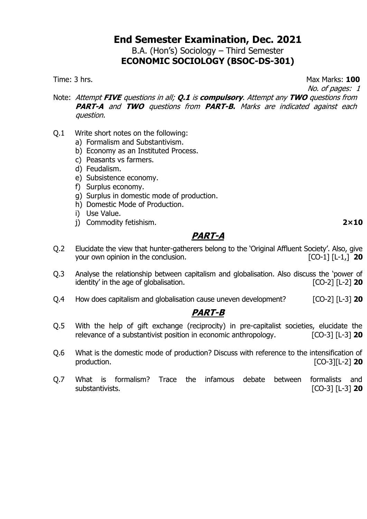### **End Semester Examination, Dec. 2021** B.A. (Hon's) Sociology – Third Semester **ECONOMIC SOCIOLOGY (BSOC-DS-301)**

Time: 3 hrs. **100** 

No. of pages: 1

Note: Attempt **FIVE** questions in all; **Q.1** is **compulsory**. Attempt any **TWO** questions from **PART-A** and **TWO** questions from **PART-B.** Marks are indicated against each question.

- Q.1 Write short notes on the following:
	- a) Formalism and Substantivism.
	- b) Economy as an Instituted Process.
	- c) Peasants vs farmers.
	- d) Feudalism.
	- e) Subsistence economy.
	- f) Surplus economy.
	- g) Surplus in domestic mode of production.
	- h) Domestic Mode of Production.
	- i) Use Value.
	- j) Commodity fetishism. **2×10**

## **PART-A**

- Q.2 Elucidate the view that hunter-gatherers belong to the 'Original Affluent Society'. Also, give your own opinion in the conclusion. [CO-1] [L-1,] **20**
- Q.3 Analyse the relationship between capitalism and globalisation. Also discuss the 'power of identity' in the age of globalisation. [CO-2] [L-2] **20**
- Q.4 How does capitalism and globalisation cause uneven development? [CO-2] [L-3] **20**

- Q.5 With the help of gift exchange (reciprocity) in pre-capitalist societies, elucidate the relevance of a substantivist position in economic anthropology. [CO-3] [L-3] **20**
- Q.6 What is the domestic mode of production? Discuss with reference to the intensification of production. [CO-3][L-2] **20**
- Q.7 What is formalism? Trace the infamous debate between formalists and substantivists. [CO-3] [L-3] **20**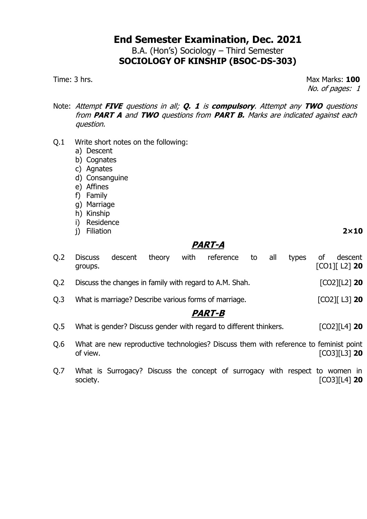## **End Semester Examination, Dec. 2021** B.A. (Hon's) Sociology – Third Semester **SOCIOLOGY OF KINSHIP (BSOC-DS-303)**

Time: 3 hrs. Max Marks: **100** No. of pages: 1

- Note: Attempt **FIVE** questions in all; **Q. 1** is **compulsory**. Attempt any **TWO** questions from **PART A** and **TWO** questions from **PART B.** Marks are indicated against each question.
- Q.1 Write short notes on the following:
	- a) Descent
	- b) Cognates
	- c) Agnates
	- d) Consanguine
	- e) Affines
	- f) Family
	- g) Marriage
	- h) Kinship
	- i) Residence
	- j) Filiation **2×10**

# **PART-A**

| Q <sub>2</sub> | <b>Discuss</b><br>groups. | descent | theory | with | reference                                                                             | to | all | types | οf | descent<br>$[CO1]$ [ L2] 20 |
|----------------|---------------------------|---------|--------|------|---------------------------------------------------------------------------------------|----|-----|-------|----|-----------------------------|
| Q <sub>2</sub> |                           |         |        |      | Discuss the changes in family with regard to A.M. Shah.                               |    |     |       |    | $[CO2][L2]$ 20              |
| Q <sub>0</sub> |                           |         |        |      | What is marriage? Describe various forms of marriage.                                 |    |     |       |    | $[CO2]$ $[L3]$ 20           |
|                |                           |         |        |      | <b>PART-B</b>                                                                         |    |     |       |    |                             |
| Q.5            |                           |         |        |      | What is gender? Discuss gender with regard to different thinkers.                     |    |     |       |    | $[CO2][L4]$ 20              |
| Q.6            | of view.                  |         |        |      | What are new reproductive technologies? Discuss them with reference to feminist point |    |     |       |    | $[CO3][L3]$ 20              |
| Q.7            | society.                  |         |        |      | What is Surrogacy? Discuss the concept of surrogacy with respect to women in          |    |     |       |    | $[CO3] [L4]$ 20             |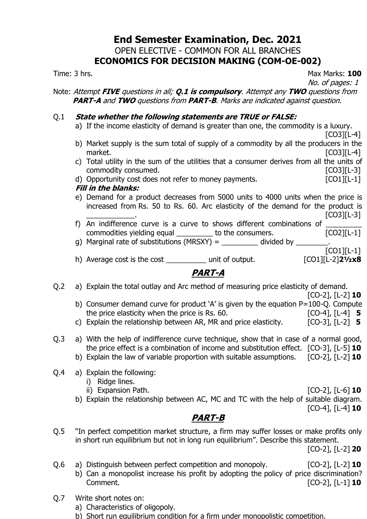### **End Semester Examination, Dec. 2021** OPEN ELECTIVE - COMMON FOR ALL BRANCHES **ECONOMICS FOR DECISION MAKING (COM-OE-002)**

Time: 3 hrs. Max Marks: **100** No. of pages: 1

Note: Attempt **FIVE** questions in all; **Q.1 is compulsory**. Attempt any **TWO** questions from **PART-A** and **TWO** questions from **PART-B**. Marks are indicated against question.

#### Q.1 **State whether the following statements are TRUE or FALSE:**

- a) If the income elasticity of demand is greater than one, the commodity is a luxury.
- [CO3][L-4] b) Market supply is the sum total of supply of a commodity by all the producers in the market. [CO3][L-4]
- c) Total utility in the sum of the utilities that a consumer derives from all the units of commodity consumed. [CO3][L-3]
- d) Opportunity cost does not refer to money payments. [CO1][L-1]

#### **Fill in the blanks:**

e) Demand for a product decreases from 5000 units to 4000 units when the price is increased from Rs. 50 to Rs. 60. Arc elasticity of the demand for the product is

 $[CO3][L-3]$ 

- f) An indifference curve is a curve to shows different combinations of  $\frac{1}{2}$  commodities yielding equal  $\frac{1}{2}$  to the consumers. [CO2][L-1] commodities yielding equal example to the consumers.
- g) Marginal rate of substitutions (MRSXY) =  $\_\_\_\_\_\_\_\_$  divided by  $\_\_\_\_\_\_\_$ [CO1][L-1]
- h) Average cost is the cost \_\_\_\_\_\_\_\_\_\_ unit of output. [CO1][L-2]**2½x8**

# **PART-A**

Q.2 a) Explain the total outlay and Arc method of measuring price elasticity of demand.

[CO-2], [L-2] **10**

- b) Consumer demand curve for product 'A' is given by the equation P=100-Q. Compute the price elasticity when the price is Rs. 60. [CO-4], [L-4] **5**
- c) Explain the relationship between AR, MR and price elasticity. [CO-3], [L-2] **5**
- Q.3 a) With the help of indifference curve technique, show that in case of a normal good, the price effect is a combination of income and substitution effect. [CO-3], [L-5] **10**
	- b) Explain the law of variable proportion with suitable assumptions. [CO-2], [L-2] **10**
- Q.4 a) Explain the following:
	- i) Ridge lines.
	- ii) Expansion Path. [CO-2], [L-6] **10**

b) Explain the relationship between AC, MC and TC with the help of suitable diagram.

#### [CO-4], [L-4] **10**

## **PART-B**

Q.5 "In perfect competition market structure, a firm may suffer losses or make profits only in short run equilibrium but not in long run equilibrium". Describe this statement.

[CO-2], [L-2] **20**

- Q.6 a) Distinguish between perfect competition and monopoly. [CO-2], [L-2] **10** b) Can a monopolist increase his profit by adopting the policy of price discrimination? Comment. [CO-2], [L-1] **10**
- Q.7 Write short notes on:
	- a) Characteristics of oligopoly.
	- b) Short run equilibrium condition for a firm under monopolistic competition.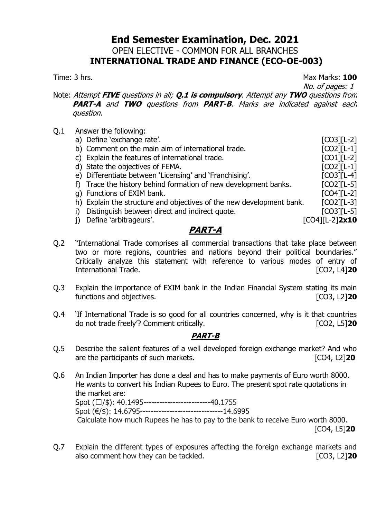### **End Semester Examination, Dec. 2021** OPEN ELECTIVE - COMMON FOR ALL BRANCHES **INTERNATIONAL TRADE AND FINANCE (ECO-OE-003)**

Time: 3 hrs. Max Marks: **100**

No. of pages: 1

Note: Attempt **FIVE** questions in all; **Q.1 is compulsory**. Attempt any **TWO** questions from **PART-A** and **TWO** questions from **PART-B**. Marks are indicated against each question.

- Q.1 Answer the following:
	- a) Define 'exchange rate'.
	- b) Comment on the main aim of international trade. [CO2][L-1]
	- c) Explain the features of international trade. [CO1][L-2]
	- d) State the objectives of FEMA. [CO2][L-1]
	- e) Differentiate between 'Licensing' and 'Franchising'. [CO3][L-4]
	- f) Trace the history behind formation of new development banks. [CO2][L-5]
	- g) Functions of EXIM bank. **EXIM** bank.
	- h) Explain the structure and objectives of the new development bank. [CO2][L-3]
	- i) Distinguish between direct and indirect quote. [CO3][L-5]
	- j) Define 'arbitrageurs'. [CO4][L-2]**2x10**

### **PART-A**

Q.2 "International Trade comprises all commercial transactions that take place between two or more regions, countries and nations beyond their political boundaries." Critically analyze this statement with reference to various modes of entry of International Trade. [CO2, L4]**20**

- Q.3 Explain the importance of EXIM bank in the Indian Financial System stating its main functions and objectives. [CO3, L2]**20**
- Q.4 'If International Trade is so good for all countries concerned, why is it that countries do not trade freely'? Comment critically. [CO2, L5]**20**

- Q.5 Describe the salient features of a well developed foreign exchange market? And who are the participants of such markets. [CO4, L2]**20**
- Q.6 An Indian Importer has done a deal and has to make payments of Euro worth 8000. He wants to convert his Indian Rupees to Euro. The present spot rate quotations in the market are: Spot  $(\Box/\$): 40.1495$ -------------------------40.1755 Spot (€/\$): 14.6795---------------------------------14.6995 Calculate how much Rupees he has to pay to the bank to receive Euro worth 8000. [CO4, L5]**20**
- Q.7 Explain the different types of exposures affecting the foreign exchange markets and also comment how they can be tackled. [CO3, L2]**20**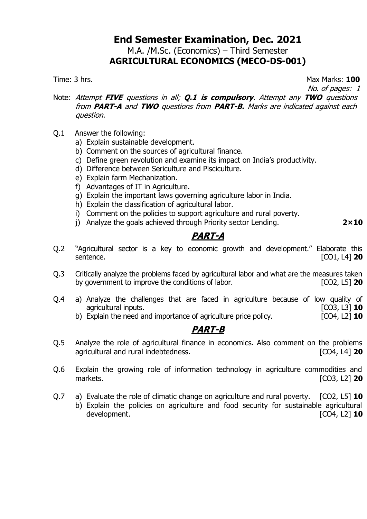M.A. /M.Sc. (Economics) – Third Semester **AGRICULTURAL ECONOMICS (MECO-DS-001)**

Time: 3 hrs. Max Marks: **100**

No. of pages: 1

- Note: Attempt **FIVE** questions in all; **Q.1 is compulsory**. Attempt any **TWO** questions from **PART-A** and **TWO** questions from **PART-B.** Marks are indicated against each question.
- Q.1 Answer the following:
	- a) Explain sustainable development.
	- b) Comment on the sources of agricultural finance.
	- c) Define green revolution and examine its impact on India's productivity.
	- d) Difference between Sericulture and Pisciculture.
	- e) Explain farm Mechanization.
	- f) Advantages of IT in Agriculture.
	- g) Explain the important laws governing agriculture labor in India.
	- h) Explain the classification of agricultural labor.
	- i) Comment on the policies to support agriculture and rural poverty.
	- j) Analyze the goals achieved through Priority sector Lending. **2×10**

**PART-A**

- Q.2 "Agricultural sector is a key to economic growth and development." Elaborate this sentence. [CO1, L4] **20**
- Q.3 Critically analyze the problems faced by agricultural labor and what are the measures taken by government to improve the conditions of labor. [CO2, L5] **20**
- Q.4 a) Analyze the challenges that are faced in agriculture because of low quality of agricultural inputs. agricultural inputs.
	- b) Explain the need and importance of agriculture price policy. [CO4, L2] **10**

- Q.5 Analyze the role of agricultural finance in economics. Also comment on the problems agricultural and rural indebtedness. [CO4, L4] **20**
- Q.6 Explain the growing role of information technology in agriculture commodities and markets. [CO3, L2] **20**
- Q.7 a) Evaluate the role of climatic change on agriculture and rural poverty. [CO2, L5] **10**
	- b) Explain the policies on agriculture and food security for sustainable agricultural development. [CO4, L2] **10**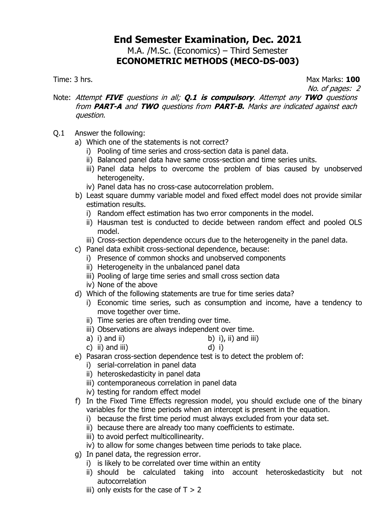### **End Semester Examination, Dec. 2021** M.A. /M.Sc. (Economics) – Third Semester

# **ECONOMETRIC METHODS (MECO-DS-003)**

Time: 3 hrs. Max Marks: **100**

No. of pages: 2

- Note: Attempt **FIVE** questions in all; **Q.1 is compulsory**. Attempt any **TWO** questions from **PART-A** and **TWO** questions from **PART-B.** Marks are indicated against each question.
- Q.1 Answer the following:
	- a) Which one of the statements is not correct?
		- i) Pooling of time series and cross-section data is panel data.
		- ii) Balanced panel data have same cross-section and time series units.
		- iii) Panel data helps to overcome the problem of bias caused by unobserved heterogeneity.
		- iv) Panel data has no cross-case autocorrelation problem.
	- b) Least square dummy variable model and fixed effect model does not provide similar estimation results.
		- i) Random effect estimation has two error components in the model.
		- ii) Hausman test is conducted to decide between random effect and pooled OLS model.
		- iii) Cross-section dependence occurs due to the heterogeneity in the panel data.
	- c) Panel data exhibit cross-sectional dependence, because:
		- i) Presence of common shocks and unobserved components
		- ii) Heterogeneity in the unbalanced panel data
		- iii) Pooling of large time series and small cross section data
		- iv) None of the above
	- d) Which of the following statements are true for time series data?
		- i) Economic time series, such as consumption and income, have a tendency to move together over time.
		- ii) Time series are often trending over time.
		- iii) Observations are always independent over time.
		- a) i) and ii) b) i), ii) and iii)
		- c) ii) and iii) d) i)
	- e) Pasaran cross-section dependence test is to detect the problem of:
		- i) serial-correlation in panel data
		- ii) heteroskedasticity in panel data
		- iii) contemporaneous correlation in panel data
		- iv) testing for random effect model
	- f) In the Fixed Time Effects regression model, you should exclude one of the binary variables for the time periods when an intercept is present in the equation.
		- i) because the first time period must always excluded from your data set.
		- ii) because there are already too many coefficients to estimate.
		- iii) to avoid perfect multicollinearity.
		- iv) to allow for some changes between time periods to take place.
	- g) In panel data, the regression error.
		- i) is likely to be correlated over time within an entity
		- ii) should be calculated taking into account heteroskedasticity but not autocorrelation
		- iii) only exists for the case of  $T > 2$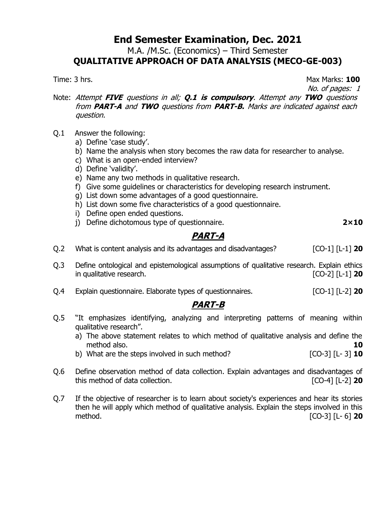M.A. /M.Sc. (Economics) – Third Semester

## **QUALITATIVE APPROACH OF DATA ANALYSIS (MECO-GE-003)**

Time: 3 hrs. Max Marks: **100**

No. of pages: 1

- Note: Attempt **FIVE** questions in all; **Q.1 is compulsory**. Attempt any **TWO** questions from **PART-A** and **TWO** questions from **PART-B.** Marks are indicated against each question.
- Q.1 Answer the following:
	- a) Define 'case study'.
	- b) Name the analysis when story becomes the raw data for researcher to analyse.
	- c) What is an open-ended interview?
	- d) Define 'validity'.
	- e) Name any two methods in qualitative research.
	- f) Give some guidelines or characteristics for developing research instrument.
	- g) List down some advantages of a good questionnaire.
	- h) List down some five characteristics of a good questionnaire.
	- i) Define open ended questions.
	- j) Define dichotomous type of questionnaire. **2×10**

**PART-A**

Q.2 What is content analysis and its advantages and disadvantages? [CO-1] [L-1] **20**

- Q.3 Define ontological and epistemological assumptions of qualitative research. Explain ethics in qualitative research. [CO-2] [L-1] **20**
- Q.4 Explain questionnaire. Elaborate types of questionnaires. [CO-1] [L-2] **20**

- Q.5 "It emphasizes identifying, analyzing and interpreting patterns of meaning within qualitative research".
	- a) The above statement relates to which method of qualitative analysis and define the method also. **10**
	- b) What are the steps involved in such method? [CO-3] [L- 3] **10**
- Q.6 Define observation method of data collection. Explain advantages and disadvantages of this method of data collection. [CO-4] [L-2] **20**
- Q.7 If the objective of researcher is to learn about society's experiences and hear its stories then he will apply which method of qualitative analysis. Explain the steps involved in this method. [CO-3] [L- 6] **20**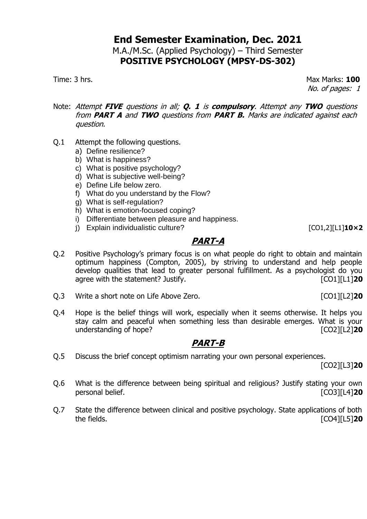### **End Semester Examination, Dec. 2021** M.A./M.Sc. (Applied Psychology) – Third Semester **POSITIVE PSYCHOLOGY (MPSY-DS-302)**

Time: 3 hrs. Max Marks: **100** No. of pages: 1

- Note: Attempt **FIVE** questions in all; **Q. 1** is **compulsory**. Attempt any **TWO** questions from **PART A** and **TWO** questions from **PART B.** Marks are indicated against each question.
- Q.1 Attempt the following questions.
	- a) Define resilience?
	- b) What is happiness?
	- c) What is positive psychology?
	- d) What is subjective well-being?
	- e) Define Life below zero.
	- f) What do you understand by the Flow?
	- g) What is self-regulation?
	- h) What is emotion-focused coping?
	- i) Differentiate between pleasure and happiness.
	- j) Explain individualistic culture? [CO1,2][L1]**10×2**

# **PART-A**

- Q.2 Positive Psychology's primary focus is on what people do right to obtain and maintain optimum happiness (Compton, 2005), by striving to understand and help people develop qualities that lead to greater personal fulfillment. As a psychologist do you agree with the statement? Justify. **Example 20 CO1**[L1] **20**
- Q.3 Write a short note on Life Above Zero. [CO1][L2]**20**
- Q.4 Hope is the belief things will work, especially when it seems otherwise. It helps you stay calm and peaceful when something less than desirable emerges. What is your understanding of hope? **[CO2][L2] 10**

# **PART-B**

Q.5 Discuss the brief concept optimism narrating your own personal experiences.

[CO2][L3]**20**

- Q.6 What is the difference between being spiritual and religious? Justify stating your own personal belief. [CO3][L4]**20**
- Q.7 State the difference between clinical and positive psychology. State applications of both the fields. [CO4][L5]**20**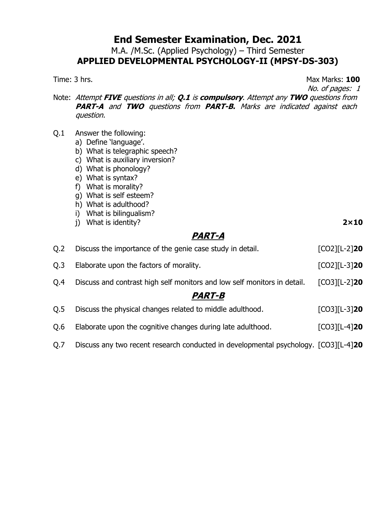M.A. /M.Sc. (Applied Psychology) – Third Semester **APPLIED DEVELOPMENTAL PSYCHOLOGY-II (MPSY-DS-303)**

Time: 3 hrs. Max Marks: **100**

No. of pages: 1

Note: Attempt **FIVE** questions in all; **Q.1** is **compulsory**. Attempt any **TWO** questions from **PART-A** and **TWO** questions from **PART-B.** Marks are indicated against each question.

- Q.1 Answer the following:
	- a) Define 'language'.
	- b) What is telegraphic speech?
	- c) What is auxiliary inversion?
	- d) What is phonology?
	- e) What is syntax?
	- f) What is morality?
	- g) What is self esteem?
	- h) What is adulthood?
	- i) What is bilingualism?
	- j) What is identity? **2×10**

#### **PART-A**

| O.2                  | Discuss the importance of the genie case study in detail.                | $[CO2][L-2]$ <b>20</b> |  |  |
|----------------------|--------------------------------------------------------------------------|------------------------|--|--|
| Q.3                  | Elaborate upon the factors of morality.                                  | $[CO2][L-3]$ <b>20</b> |  |  |
| O.4                  | Discuss and contrast high self monitors and low self monitors in detail. | $[CO3][L-2]$ <b>20</b> |  |  |
| <i><b>PART-B</b></i> |                                                                          |                        |  |  |
| Q.5                  | Discuss the physical changes related to middle adulthood.                | $[CO3][L-3]$ <b>20</b> |  |  |

- Q.6 Elaborate upon the cognitive changes during late adulthood. [CO3][L-4]**20**
- Q.7 Discuss any two recent research conducted in developmental psychology. [CO3][L-4]**20**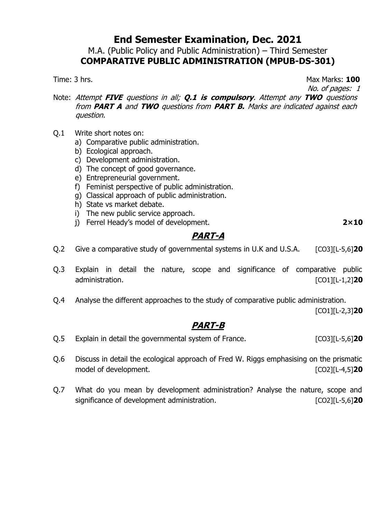M.A. (Public Policy and Public Administration) – Third Semester **COMPARATIVE PUBLIC ADMINISTRATION (MPUB-DS-301)**

Time: 3 hrs. **100** 

No. of pages: 1

Note: Attempt **FIVE** questions in all; **Q.1 is compulsory**. Attempt any **TWO** questions from **PART A** and **TWO** questions from **PART B.** Marks are indicated against each question.

- Q.1 Write short notes on:
	- a) Comparative public administration.
	- b) Ecological approach.
	- c) Development administration.
	- d) The concept of good governance.
	- e) Entrepreneurial government.
	- f) Feminist perspective of public administration.
	- g) Classical approach of public administration.
	- h) State vs market debate.
	- i) The new public service approach.
	- j) Ferrel Heady's model of development. **2×10**

# **PART-A**

Q.2 Give a comparative study of governmental systems in U.K and U.S.A. [CO3][L-5,6]**20**

- Q.3 Explain in detail the nature, scope and significance of comparative public administration. [CO1][L-1,2]**20**
- Q.4 Analyse the different approaches to the study of comparative public administration.

[CO1][L-2,3]**20**

- Q.5 Explain in detail the governmental system of France. [CO3][L-5,6]**20**
- Q.6 Discuss in detail the ecological approach of Fred W. Riggs emphasising on the prismatic model of development.
- Q.7 What do you mean by development administration? Analyse the nature, scope and significance of development administration. [CO2][L-5,6]**20**